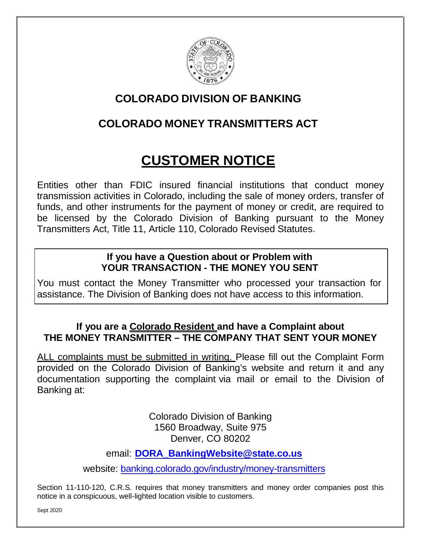

# **COLORADO DIVISION OF BANKING**

# **COLORADO MONEY TRANSMITTERS ACT**

# **CUSTOMER NOTICE**

Entities other than FDIC insured financial institutions that conduct money transmission activities in Colorado, including the sale of money orders, transfer of funds, and other instruments for the payment of money or credit, are required to be licensed by the Colorado Division of Banking pursuant to the Money Transmitters Act, Title 11, Article 110, Colorado Revised Statutes.

#### **If you have a Question about or Problem with YOUR TRANSACTION - THE MONEY YOU SENT**

You must contact the Money Transmitter who processed your transaction for assistance. The Division of Banking does not have access to this information.

### **If you are a Colorado Resident and have a Complaint about THE MONEY TRANSMITTER – THE COMPANY THAT SENT YOUR MONEY**

ALL complaints must be submitted in writing. Please fill out the Complaint Form provided on the Colorado Division of Banking's website and return it and any documentation supporting the complaint via mail or email to the Division of Banking at:

> Colorado Division of Banking 1560 Broadway, Suite 975 Denver, CO 80202

email: **[DORA\\_BankingWebsite@state.co.us](mailto:DORA_BankingWebsite@state.co.us)**

website: [banking.colorado.gov/industry/money-transmitters](https://banking.colorado.gov/industry/money-transmitters)

Section 11-110-120, C.R.S. requires that money transmitters and money order companies post this notice in a conspicuous, well-lighted location visible to customers.

Sept 2020